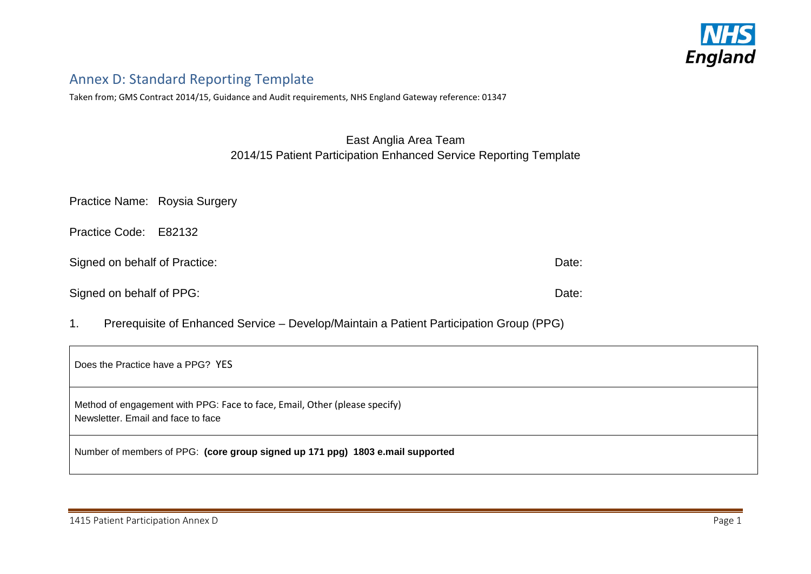

# Annex D: Standard Reporting Template

Taken from; GMS Contract 2014/15, Guidance and Audit requirements, NHS England Gateway reference: 01347

## East Anglia Area Team 2014/15 Patient Participation Enhanced Service Reporting Template

Practice Name: Roysia Surgery

Practice Code: E82132

Signed on behalf of Practice: Date: Date: Date: Date: Date: Date: Date: Date: Date: Date: Date: Date: Date: Date: Date: Date: Date: Date: Date: Date: Date: Date: Date: Date: Date: Date: Date: Date: Date: Date: Date: Date:

Signed on behalf of PPG: Date: Date: Date: Date: Date: Date: Date: Date: Date: Date: Date: Date: Date: Date: Date: Date: Date: Date: Date: Date: Date: Date: Date: Date: Date: Date: Date: Date: Date: Date: Date: Date: Date:

1. Prerequisite of Enhanced Service – Develop/Maintain a Patient Participation Group (PPG)

| Does the Practice have a PPG? YES                                                                                |
|------------------------------------------------------------------------------------------------------------------|
| Method of engagement with PPG: Face to face, Email, Other (please specify)<br>Newsletter. Email and face to face |
| Number of members of PPG: (core group signed up 171 ppg) 1803 e.mail supported                                   |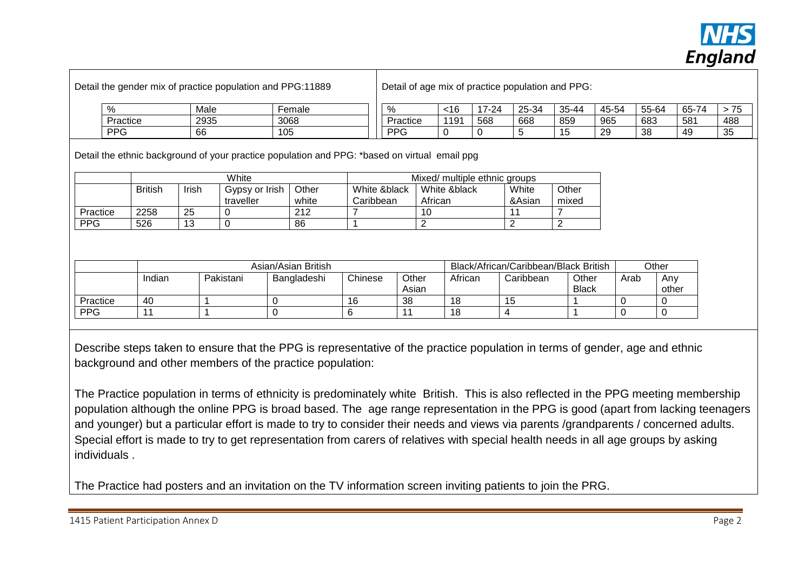

|  |  |  |  |  | Detail the gender mix of practice population and PPG:11889 |
|--|--|--|--|--|------------------------------------------------------------|
|--|--|--|--|--|------------------------------------------------------------|

Detail of age mix of practice population and PPG:

| $\mathsf{o}/$ | Male | Female | $\mathbf{O}$ | <16  | $\rightarrow$<br>7-24<br><u>_</u> | 25-34 | 25.<br>ร.⊿⊿<br>ື | 45-54        | 55-64 | $\sim$ $-$<br>65- <i>11</i><br>◡ | $- -$     |
|---------------|------|--------|--------------|------|-----------------------------------|-------|------------------|--------------|-------|----------------------------------|-----------|
| Practice      | 2935 | 3068   | Practice     | 1191 | 568                               | 668   | 859              | 965          | 683   | 581                              | 488       |
| <b>PPG</b>    | 66   | 105    | <b>DDC</b>   |      |                                   |       |                  | $\sim$<br>∠ວ | 38    | 4 <sup>c</sup>                   | つに<br>ັບປ |

Detail the ethnic background of your practice population and PPG: \*based on virtual email ppg

|            |                |       | White          |       | Mixed/ multiple ethnic groups |              |        |       |  |
|------------|----------------|-------|----------------|-------|-------------------------------|--------------|--------|-------|--|
|            | <b>British</b> | Irish | Gypsy or Irish | Other | White &black                  | White &black | White  | Other |  |
|            |                |       | traveller      | white | Caribbean                     | African      | &Asian | mixed |  |
| Practice   | 2258           | 25    |                | 212   |                               | 10           |        |       |  |
| <b>PPG</b> | 526            | 12    |                | 86    |                               |              |        |       |  |

|            | Asian/Asian British |           |             |         |       |         | Black/African/Caribbean/Black British |              |      |       |
|------------|---------------------|-----------|-------------|---------|-------|---------|---------------------------------------|--------------|------|-------|
|            | Indian              | Pakistani | Bangladeshi | Chinese | Other | African | Caribbean                             | Other        | Arab | Any   |
|            |                     |           |             |         | Asian |         |                                       | <b>Black</b> |      | other |
| Practice   | 40                  |           |             |         | 38    | 18      | 15                                    |              |      |       |
| <b>PPG</b> |                     |           |             |         |       | 18      |                                       |              |      |       |

Describe steps taken to ensure that the PPG is representative of the practice population in terms of gender, age and ethnic background and other members of the practice population:

The Practice population in terms of ethnicity is predominately white British. This is also reflected in the PPG meeting membership population although the online PPG is broad based. The age range representation in the PPG is good (apart from lacking teenagers and younger) but a particular effort is made to try to consider their needs and views via parents /grandparents / concerned adults. Special effort is made to try to get representation from carers of relatives with special health needs in all age groups by asking individuals .

The Practice had posters and an invitation on the TV information screen inviting patients to join the PRG.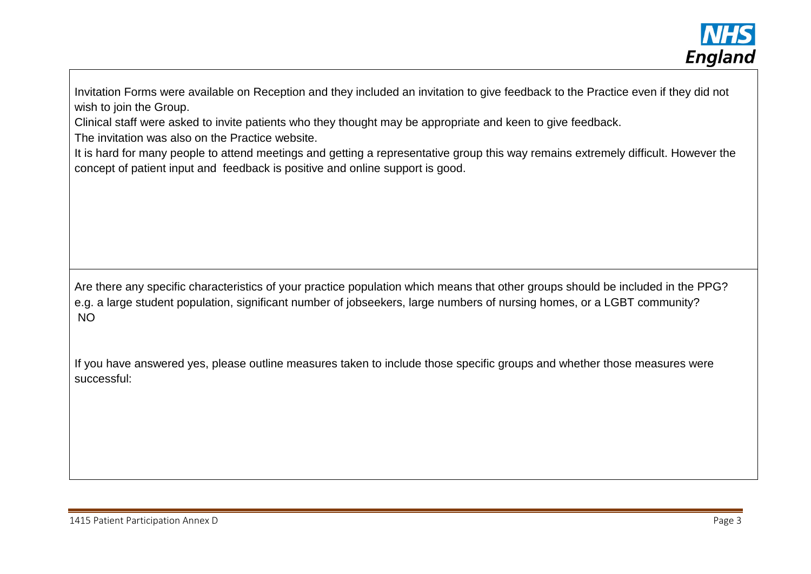

Invitation Forms were available on Reception and they included an invitation to give feedback to the Practice even if they did not wish to join the Group.

Clinical staff were asked to invite patients who they thought may be appropriate and keen to give feedback.

The invitation was also on the Practice website.

It is hard for many people to attend meetings and getting a representative group this way remains extremely difficult. However the concept of patient input and feedback is positive and online support is good.

Are there any specific characteristics of your practice population which means that other groups should be included in the PPG? e.g. a large student population, significant number of jobseekers, large numbers of nursing homes, or a LGBT community? NO

If you have answered yes, please outline measures taken to include those specific groups and whether those measures were successful: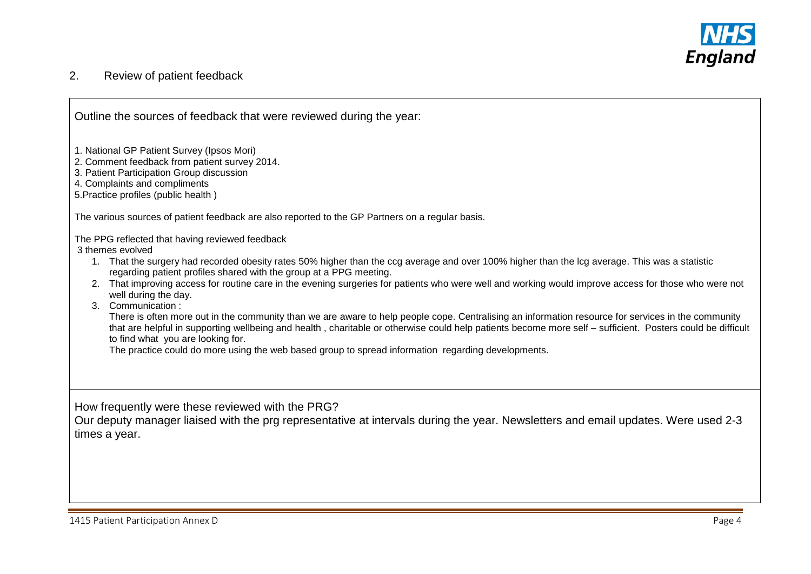

### 2. Review of patient feedback

Outline the sources of feedback that were reviewed during the year:

- 1. National GP Patient Survey (Ipsos Mori)
- 2. Comment feedback from patient survey 2014.
- 3. Patient Participation Group discussion
- 4. Complaints and compliments
- 5.Practice profiles (public health )

The various sources of patient feedback are also reported to the GP Partners on a regular basis.

The PPG reflected that having reviewed feedback

3 themes evolved

- 1. That the surgery had recorded obesity rates 50% higher than the ccg average and over 100% higher than the lcg average. This was a statistic regarding patient profiles shared with the group at a PPG meeting.
- 2. That improving access for routine care in the evening surgeries for patients who were well and working would improve access for those who were not well during the day.
- 3. Communication :

There is often more out in the community than we are aware to help people cope. Centralising an information resource for services in the community that are helpful in supporting wellbeing and health , charitable or otherwise could help patients become more self – sufficient. Posters could be difficult to find what you are looking for.

The practice could do more using the web based group to spread information regarding developments.

How frequently were these reviewed with the PRG?

Our deputy manager liaised with the prg representative at intervals during the year. Newsletters and email updates. Were used 2-3 times a year.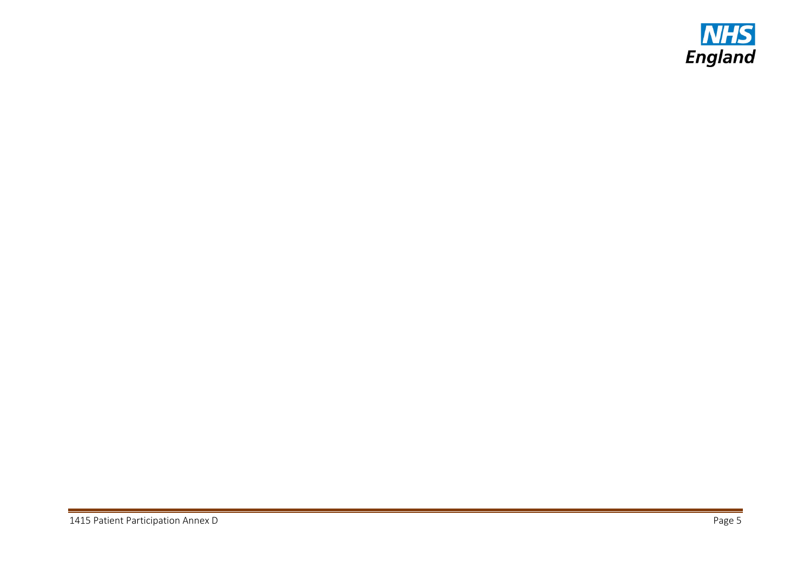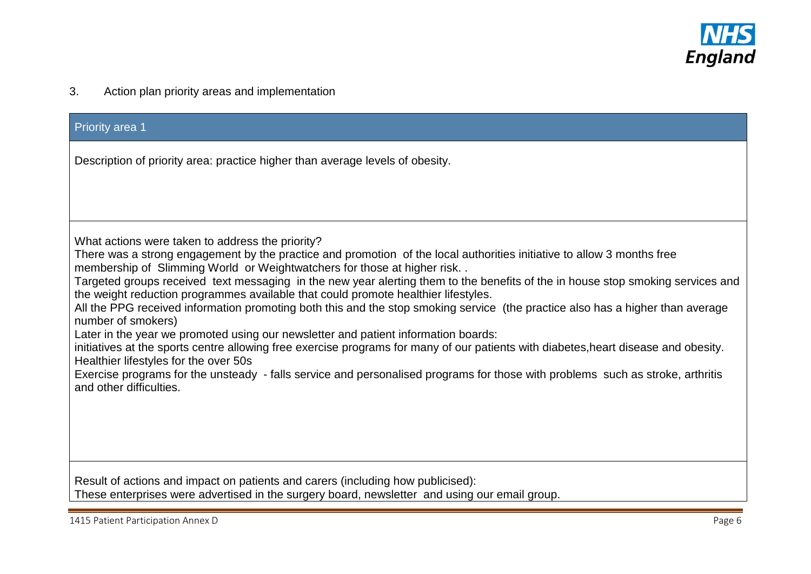

3. Action plan priority areas and implementation

| <b>Priority area 1</b>                                                                                                                                                                                                                                                                                                                                                                                                                                                                                                                                                                                                                                                                                                                                                                                                                                                                                                                                                                                                                                                    |
|---------------------------------------------------------------------------------------------------------------------------------------------------------------------------------------------------------------------------------------------------------------------------------------------------------------------------------------------------------------------------------------------------------------------------------------------------------------------------------------------------------------------------------------------------------------------------------------------------------------------------------------------------------------------------------------------------------------------------------------------------------------------------------------------------------------------------------------------------------------------------------------------------------------------------------------------------------------------------------------------------------------------------------------------------------------------------|
| Description of priority area: practice higher than average levels of obesity.                                                                                                                                                                                                                                                                                                                                                                                                                                                                                                                                                                                                                                                                                                                                                                                                                                                                                                                                                                                             |
| What actions were taken to address the priority?<br>There was a strong engagement by the practice and promotion of the local authorities initiative to allow 3 months free<br>membership of Slimming World or Weightwatchers for those at higher risk<br>Targeted groups received text messaging in the new year alerting them to the benefits of the in house stop smoking services and<br>the weight reduction programmes available that could promote healthier lifestyles.<br>All the PPG received information promoting both this and the stop smoking service (the practice also has a higher than average<br>number of smokers)<br>Later in the year we promoted using our newsletter and patient information boards:<br>initiatives at the sports centre allowing free exercise programs for many of our patients with diabetes, heart disease and obesity.<br>Healthier lifestyles for the over 50s<br>Exercise programs for the unsteady - falls service and personalised programs for those with problems such as stroke, arthritis<br>and other difficulties. |
| Result of actions and impact on patients and carers (including how publicised):                                                                                                                                                                                                                                                                                                                                                                                                                                                                                                                                                                                                                                                                                                                                                                                                                                                                                                                                                                                           |

These enterprises were advertised in the surgery board, newsletter and using our email group.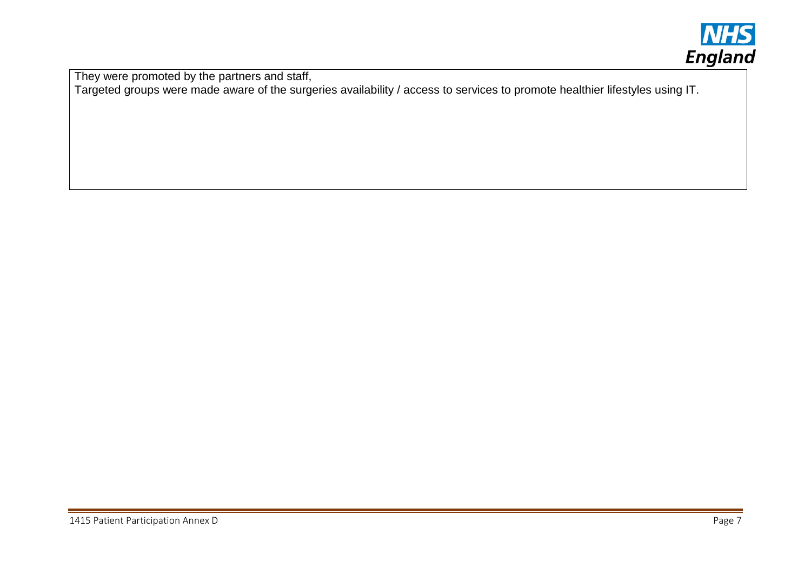

They were promoted by the partners and staff, Targeted groups were made aware of the surgeries availability / access to services to promote healthier lifestyles using IT.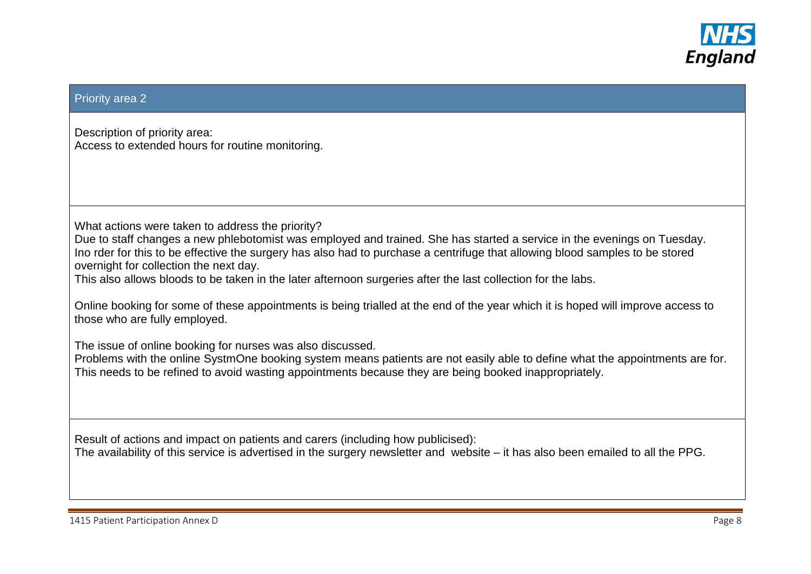

#### Priority area 2

Description of priority area: Access to extended hours for routine monitoring.

What actions were taken to address the priority?

Due to staff changes a new phlebotomist was employed and trained. She has started a service in the evenings on Tuesday. Ino rder for this to be effective the surgery has also had to purchase a centrifuge that allowing blood samples to be stored overnight for collection the next day.

This also allows bloods to be taken in the later afternoon surgeries after the last collection for the labs.

Online booking for some of these appointments is being trialled at the end of the year which it is hoped will improve access to those who are fully employed.

The issue of online booking for nurses was also discussed.

Problems with the online SystmOne booking system means patients are not easily able to define what the appointments are for. This needs to be refined to avoid wasting appointments because they are being booked inappropriately.

Result of actions and impact on patients and carers (including how publicised):

The availability of this service is advertised in the surgery newsletter and website – it has also been emailed to all the PPG.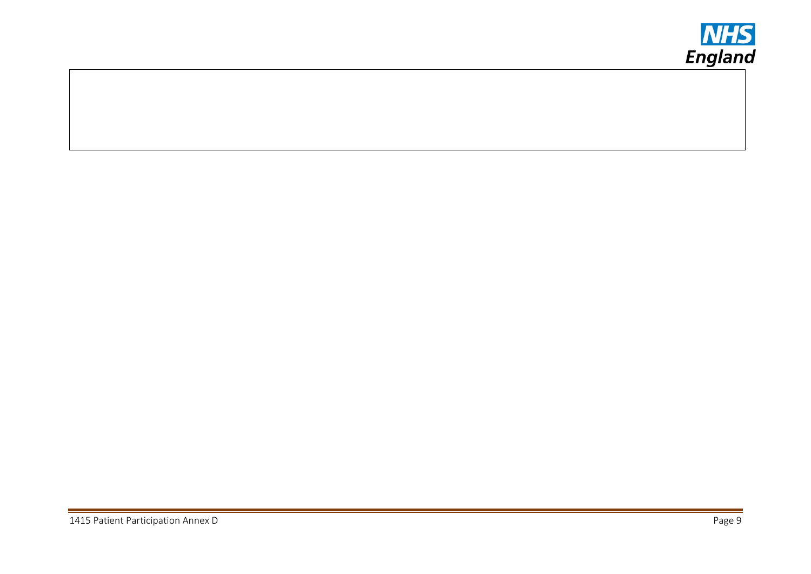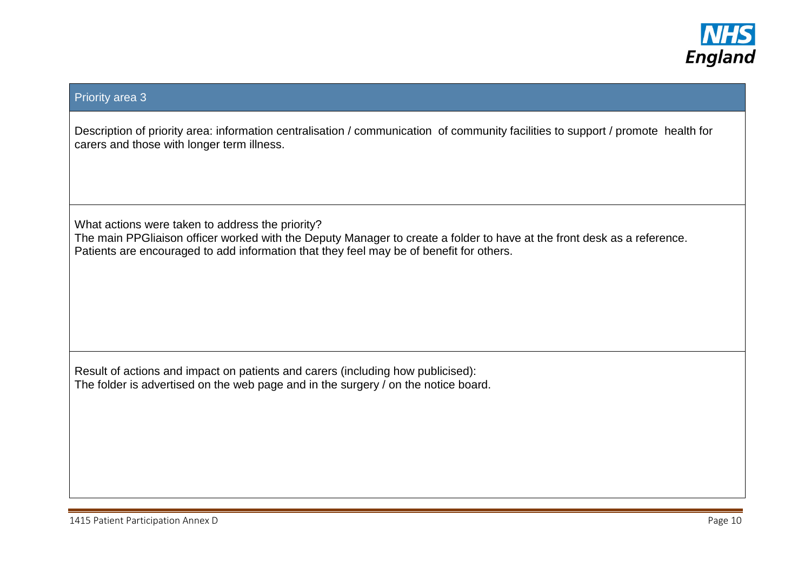

### Priority area 3

Description of priority area: information centralisation / communication of community facilities to support / promote health for carers and those with longer term illness.

What actions were taken to address the priority?

The main PPGliaison officer worked with the Deputy Manager to create a folder to have at the front desk as a reference. Patients are encouraged to add information that they feel may be of benefit for others.

Result of actions and impact on patients and carers (including how publicised): The folder is advertised on the web page and in the surgery / on the notice board.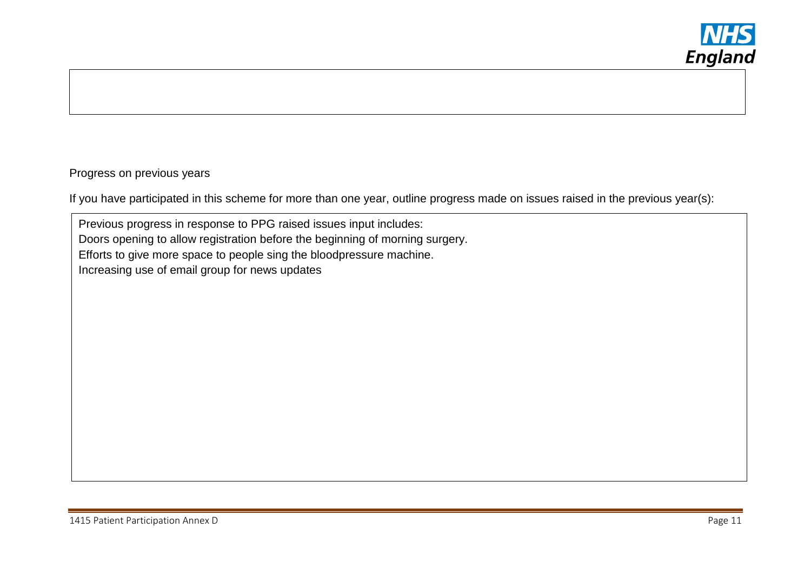

Progress on previous years

If you have participated in this scheme for more than one year, outline progress made on issues raised in the previous year(s):

Previous progress in response to PPG raised issues input includes: Doors opening to allow registration before the beginning of morning surgery. Efforts to give more space to people sing the bloodpressure machine. Increasing use of email group for news updates